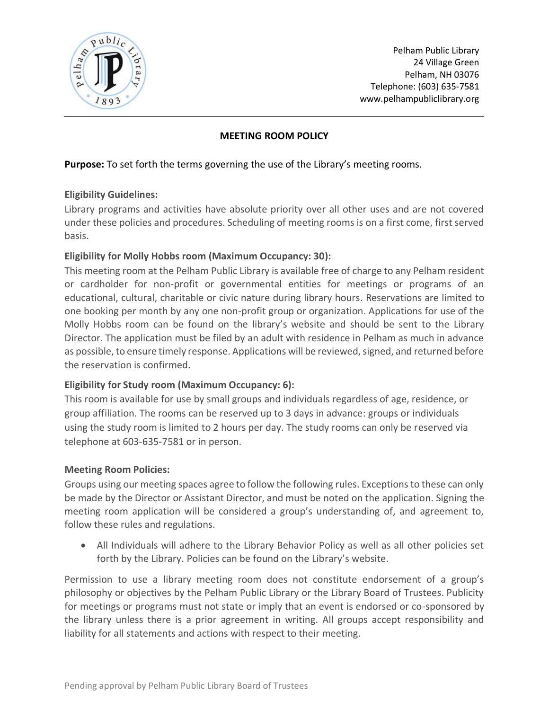

Pelham Public Library 24 Village Green Pelham, NH 03076 Telephone: (603) 635-7581 www.pelhampubliclibrary.org

# **MEETING ROOM POLICY**

### **Purpose:** To set forth the terms governing the use of the Library's meeting rooms.

#### **Eligibility Guidelines:**

Library programs and activities have absolute priority over all other uses and are not covered under these policies and procedures. Scheduling of meeting rooms is on a first come, first served basis.

## **Eligibility for Molly Hobbs room (Maximum Occupancy: 30):**

This meeting room at the Pelham Public Library is available free of charge to any Pelham resident or cardholder for non-profit or governmental entities for meetings or programs of an educational, cultural, charitable or civic nature during library hours. Reservations are limited to one booking per month by any one non-profit group or organization. Applications for use of the Molly Hobbs room can be found on the library's website and should be sent to the Library Director. The application must be filed by an adult with residence in Pelham as much in advance as possible, to ensure timely response. Applications will be reviewed, signed, and returned before the reservation is confirmed.

## **Eligibility for Study room (Maximum Occupancy: 6):**

This room is available for use by small groups and individuals regardless of age, residence, or group affiliation. The rooms can be reserved up to 3 days in advance: groups or individuals using the study room is limited to 2 hours per day. The study rooms can only be reserved via telephone at 603-635-7581 or in person.

#### **Meeting Room Policies:**

Groups using our meeting spaces agree to follow the following rules. Exceptions to these can only be made by the Director or Assistant Director, and must be noted on the application. Signing the meeting room application will be considered a group's understanding of, and agreement to, follow these rules and regulations.

• All Individuals will adhere to the Library Behavior Policy as well as all other policies set forth by the Library. Policies can be found on the Library's website.

Permission to use a library meeting room does not constitute endorsement of a group's philosophy or objectives by the Pelham Public Library or the Library Board of Trustees. Publicity for meetings or programs must not state or imply that an event is endorsed or co-sponsored by the library unless there is a prior agreement in writing. All groups accept responsibility and liability for all statements and actions with respect to their meeting.